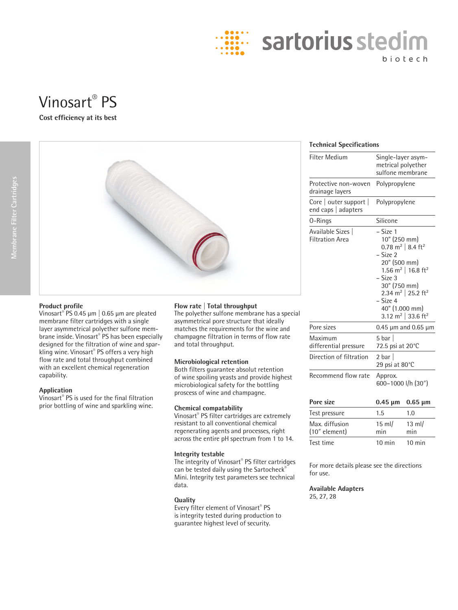

# **Cost efficiency at its best**



## **Product profile**

Vinosart® PS 0.45 µm | 0.65 µm are pleated membrane filter cartridges with a single layer asymmetrical polyether sulfone membrane inside. Vinosart® PS has been especially designed for the filtration of wine and sparkling wine. Vinosart® PS offers a very high flow rate and total throughput combined with an excellent chemical regeneration capability.

#### **Application**

Vinosart® PS is used for the final filtration prior bottling of wine and sparkling wine.

## **Flow rate | Total throughput**

The polyether sulfone membrane has a special asymmetrical pore structure that ideally matches the requirements for the wine and champagne filtration in terms of flow rate and total throughput.

#### **Microbiological retention**

Both filters guarantee absolut retention of wine spoiling yeasts and provide highest microbiological safety for the bottling proscess of wine and champagne.

#### **Chemical compatability**

Vinosart® PS filter cartridges are extremely resistant to all conventional chemical regenerating agents and processes, right across the entire pH spectrum from 1 to 14.

## **Integrity testable**

The integrity of Vinosart® PS filter cartridges can be tested daily using the Sartocheck® Mini. Integrity test parameters see technical data.

## **Quality**

Every filter element of Vinosart® PS is integrity tested during production to guarantee highest level of security.

## **Technical Specifications**

| <b>Filter Medium</b>                          | Single-layer asym-<br>metrical polyether<br>sulfone membrane                                                                                                                                                                                                                                      |  |  |
|-----------------------------------------------|---------------------------------------------------------------------------------------------------------------------------------------------------------------------------------------------------------------------------------------------------------------------------------------------------|--|--|
| Protective non-woven<br>drainage layers       | Polypropylene                                                                                                                                                                                                                                                                                     |  |  |
| Core   outer support  <br>end caps   adapters | Polypropylene                                                                                                                                                                                                                                                                                     |  |  |
| 0-Rings                                       | Silicone                                                                                                                                                                                                                                                                                          |  |  |
| Available Sizes  <br><b>Filtration Area</b>   | – Size 1<br>10" (250 mm)<br>0.78 m <sup>2</sup>   8.4 ft <sup>2</sup><br>- Size 2<br>20" (500 mm)<br>1.56 m <sup>2</sup>   16.8 ft <sup>2</sup><br>– Size 3<br>30" (750 mm)<br>2.34 m <sup>2</sup> 25.2 ft <sup>2</sup><br>– Size 4<br>40" (1.000 mm)<br>3.12 m <sup>2</sup> 33.6 ft <sup>2</sup> |  |  |
| Pore sizes                                    | 0.45 $\mu$ m and 0.65 $\mu$ m                                                                                                                                                                                                                                                                     |  |  |
| Maximum<br>differential pressure              | 5 $bar$<br>72.5 psi at 20°C                                                                                                                                                                                                                                                                       |  |  |
| Direction of filtration                       | $2 \text{ bar}$<br>29 psi at 80°C                                                                                                                                                                                                                                                                 |  |  |
| Recommend flow rate                           | Approx.<br>600-1000 l/h (30")                                                                                                                                                                                                                                                                     |  |  |
| Pore size                                     | $0.45 \mu m$<br>$0.65 \mu m$                                                                                                                                                                                                                                                                      |  |  |

| Pore size                         |                  | $0.45 \,\mathrm{\upmu m}$ 0.65 $\mathrm{\upmu m}$ |
|-----------------------------------|------------------|---------------------------------------------------|
| Test pressure                     | 1.5              | 1.0                                               |
| Max. diffusion<br>$(10"$ element) | $15$ ml/<br>min  | $13$ ml/<br>min                                   |
| Test time                         | $10 \text{ min}$ | 10 min                                            |

For more details please see the directions for use.

**Available Adapters** 25, 27, 28